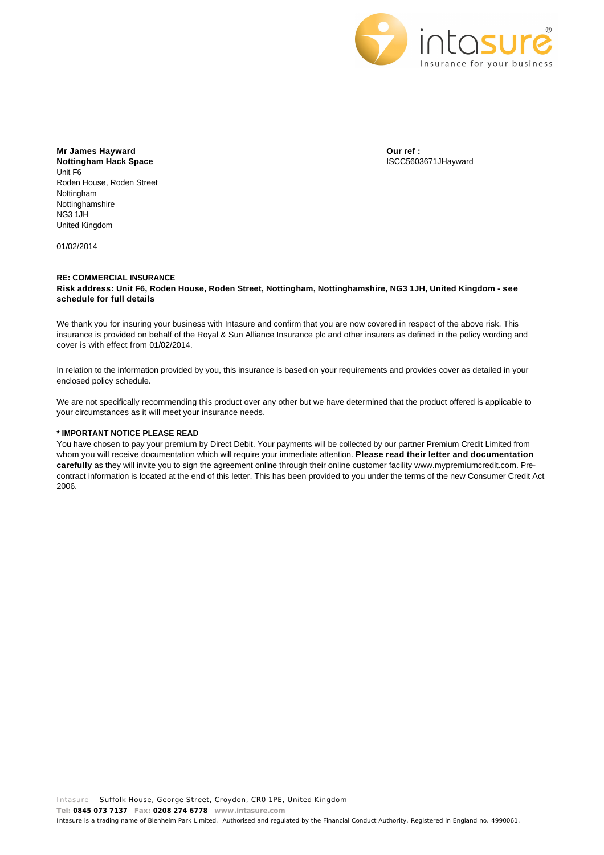

**Mr James Hayward Nottingham Hack Space** Unit F6 Roden House, Roden Street Nottingham Nottinghamshire NG3 1JH United Kingdom

01/02/2014

**Our ref :** ISCC5603671JHayward

## **RE: COMMERCIAL INSURANCE Risk address: Unit F6, Roden House, Roden Street, Nottingham, Nottinghamshire, NG3 1JH, United Kingdom - see schedule for full details**

We thank you for insuring your business with Intasure and confirm that you are now covered in respect of the above risk. This insurance is provided on behalf of the Royal & Sun Alliance Insurance plc and other insurers as defined in the policy wording and cover is with effect from 01/02/2014.

In relation to the information provided by you, this insurance is based on your requirements and provides cover as detailed in your enclosed policy schedule.

We are not specifically recommending this product over any other but we have determined that the product offered is applicable to your circumstances as it will meet your insurance needs.

## **\* IMPORTANT NOTICE PLEASE READ**

You have chosen to pay your premium by Direct Debit. Your payments will be collected by our partner Premium Credit Limited from whom you will receive documentation which will require your immediate attention. **Please read their letter and documentation carefully** as they will invite you to sign the agreement online through their online customer facility www.mypremiumcredit.com. Precontract information is located at the end of this letter. This has been provided to you under the terms of the new Consumer Credit Act 2006.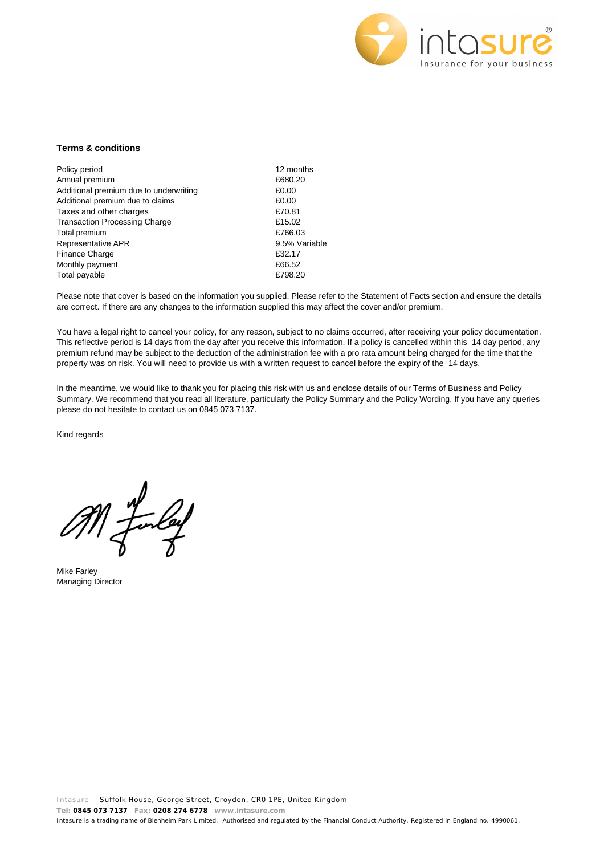

## **Terms & conditions**

| Policy period                          | 12 months     |
|----------------------------------------|---------------|
| Annual premium                         | £680.20       |
| Additional premium due to underwriting | £0.00         |
| Additional premium due to claims       | £0.00         |
| Taxes and other charges                | £70.81        |
| <b>Transaction Processing Charge</b>   | £15.02        |
| Total premium                          | £766.03       |
| Representative APR                     | 9.5% Variable |
| <b>Finance Charge</b>                  | £32.17        |
| Monthly payment                        | £66.52        |
| Total payable                          | £798.20       |

Please note that cover is based on the information you supplied. Please refer to the Statement of Facts section and ensure the details are correct. If there are any changes to the information supplied this may affect the cover and/or premium.

You have a legal right to cancel your policy, for any reason, subject to no claims occurred, after receiving your policy documentation. This reflective period is 14 days from the day after you receive this information. If a policy is cancelled within this 14 day period, any premium refund may be subject to the deduction of the administration fee with a pro rata amount being charged for the time that the property was on risk. You will need to provide us with a written request to cancel before the expiry of the 14 days.

In the meantime, we would like to thank you for placing this risk with us and enclose details of our Terms of Business and Policy Summary. We recommend that you read all literature, particularly the Policy Summary and the Policy Wording. If you have any queries please do not hesitate to contact us on 0845 073 7137.

Kind regards

Mike Farley Managing Director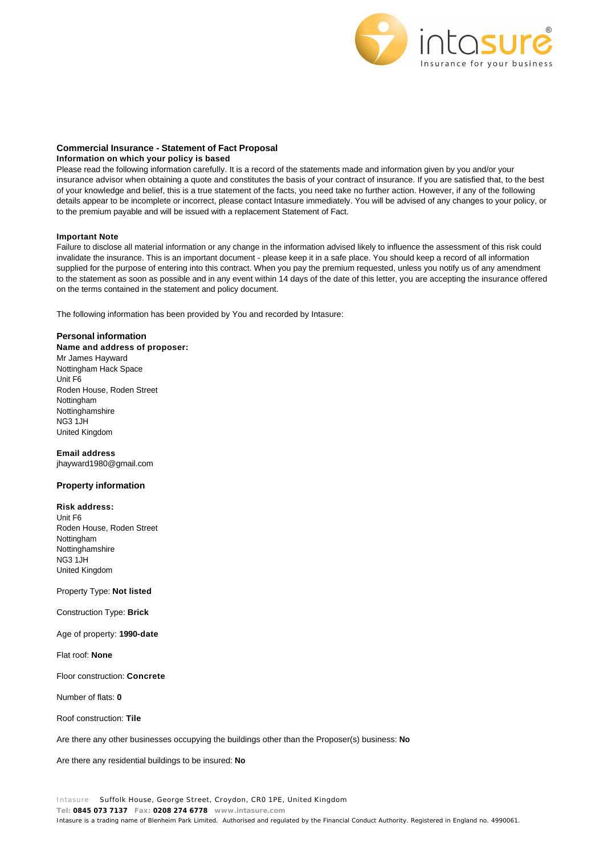

## **Commercial Insurance - Statement of Fact Proposal**

## **Information on which your policy is based**

Please read the following information carefully. It is a record of the statements made and information given by you and/or your insurance advisor when obtaining a quote and constitutes the basis of your contract of insurance. If you are satisfied that, to the best of your knowledge and belief, this is a true statement of the facts, you need take no further action. However, if any of the following details appear to be incomplete or incorrect, please contact Intasure immediately. You will be advised of any changes to your policy, or to the premium payable and will be issued with a replacement Statement of Fact.

## **Important Note**

Failure to disclose all material information or any change in the information advised likely to influence the assessment of this risk could invalidate the insurance. This is an important document - please keep it in a safe place. You should keep a record of all information supplied for the purpose of entering into this contract. When you pay the premium requested, unless you notify us of any amendment to the statement as soon as possible and in any event within 14 days of the date of this letter, you are accepting the insurance offered on the terms contained in the statement and policy document.

The following information has been provided by You and recorded by Intasure:

### **Personal information**

**Name and address of proposer:**  Mr James Hayward Nottingham Hack Space Unit F6 Roden House, Roden Street Nottingham Nottinghamshire NG3 1JH United Kingdom

**Email address**  jhayward1980@gmail.com

# **Property information**

**Risk address:**

Unit F6 Roden House, Roden Street Nottingham Nottinghamshire NG3 1JH United Kingdom

### Property Type: **Not listed**

Construction Type: **Brick**

Age of property: **1990-date**

Flat roof: **None**

Floor construction: **Concrete**

Number of flats: **0**

Roof construction: **Tile**

Are there any other businesses occupying the buildings other than the Proposer(s) business: **No**

Are there any residential buildings to be insured: **No**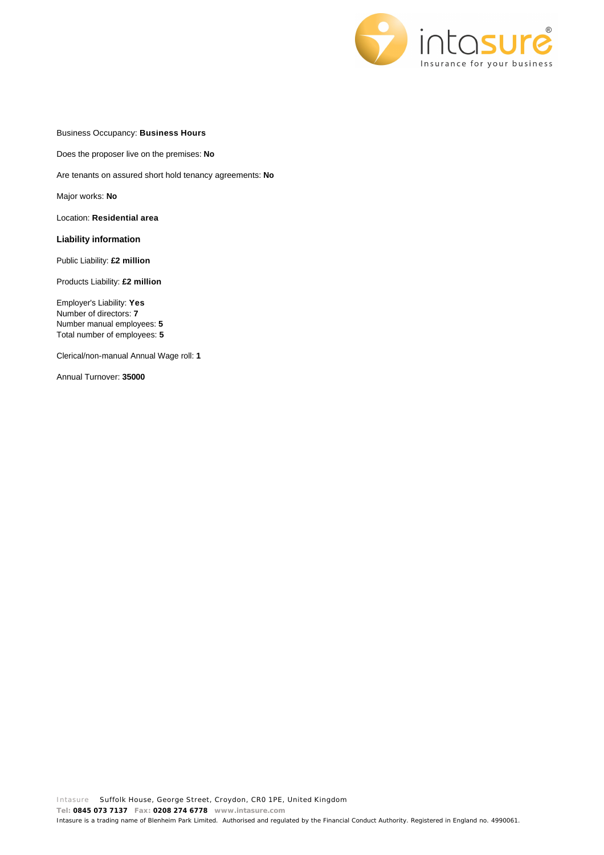

Business Occupancy: **Business Hours**

Does the proposer live on the premises: **No**

Are tenants on assured short hold tenancy agreements: **No**

Major works: **No**

Location: **Residential area**

**Liability information**

Public Liability: **£2 million**

Products Liability: **£2 million**

Employer's Liability: **Yes** Number of directors: **7** Number manual employees: **5** Total number of employees: **5**

Clerical/non-manual Annual Wage roll: **1**

Annual Turnover: **35000**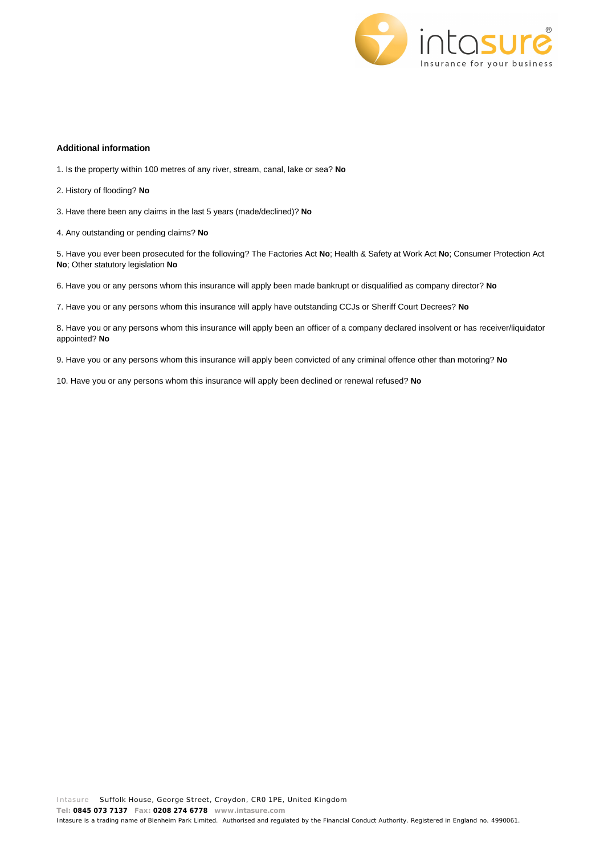

# **Additional information**

- 1. Is the property within 100 metres of any river, stream, canal, lake or sea? **No**
- 2. History of flooding? **No**
- 3. Have there been any claims in the last 5 years (made/declined)? **No**
- 4. Any outstanding or pending claims? **No**

5. Have you ever been prosecuted for the following? The Factories Act **No**; Health & Safety at Work Act **No**; Consumer Protection Act **No**; Other statutory legislation **No**

6. Have you or any persons whom this insurance will apply been made bankrupt or disqualified as company director? **No**

7. Have you or any persons whom this insurance will apply have outstanding CCJs or Sheriff Court Decrees? **No**

8. Have you or any persons whom this insurance will apply been an officer of a company declared insolvent or has receiver/liquidator appointed? **No**

9. Have you or any persons whom this insurance will apply been convicted of any criminal offence other than motoring? **No**

10. Have you or any persons whom this insurance will apply been declined or renewal refused? **No**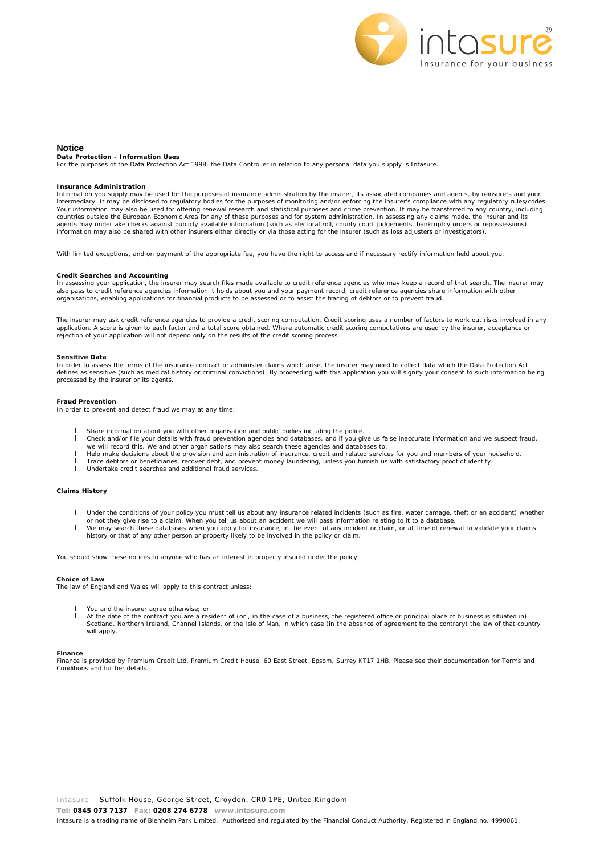

#### **Notice**

**Data Protection - Information Uses**

For the purposes of the Data Protection Act 1998, the Data Controller in relation to any personal data you supply is Intasure.

#### **Insurance Administration**

Information you supply may be used for the purposes of insurance administration by the insurer, its associated companies and agents, by reinsurers and your intermediary. It may be disclosed to regulatory bodies for the purposes of monitoring and/or enforcing the insurer's compliance with any regulatory rules/codes. Your information may also be used for offering renewal research and statistical purposes and crime prevention. It may be transferred to any country, including<br>countries outside the European Economic Area for any of these p agents may undertake checks against publicly available information (such as electoral roll, county court judgements, bankruptcy orders or repossessions) information may also be shared with other insurers either directly or via those acting for the insurer (such as loss adjusters or investigators).

With limited exceptions, and on payment of the appropriate fee, you have the right to access and if necessary rectify information held about you.

#### **Credit Searches and Accounting**

In assessing your application, the insurer may search files made available to credit reference agencies who may keep a record of that search. The insurer may also pass to credit reference agencies information it holds about you and your payment record, credit reference agencies share information with other organisations, enabling applications for financial products to be assessed or to assist the tracing of debtors or to prevent fraud.

The insurer may ask credit reference agencies to provide a credit scoring computation. Credit scoring uses a number of factors to work out risks involved in any<br>application. A score is given to each factor and a total scor rejection of your application will not depend only on the results of the credit scoring process.

#### **Sensitive Data**

In order to assess the terms of the insurance contract or administer claims which arise, the insurer may need to collect data which the Data Protection Act defines as sensitive (such as medical history or criminal convictions). By proceeding with this application you will signify your consent to such information being processed by the insurer or its agents.

#### **Fraud Prevention**

In order to prevent and detect fraud we may at any time:

- I Share information about you with other organisation and public bodies including the police.<br>Check and/or file your details with fraud prevention agencies and databases, and if you given
- l Check and/or file your details with fraud prevention agencies and databases, and if you give us false inaccurate information and we suspect fraud,
- we will record this. We and other organisations may also search these agencies and databases to:<br>I Help make decisions about the provision and administration of insurance, credit and related services for you and members of
- l Trace debtors or beneficiaries, recover debt, and prevent money laundering, unless you furnish us with satisfactory proof of identity.
- l Undertake credit searches and additional fraud services.

#### **Claims History**

- l Under the conditions of your policy you must tell us about any insurance related incidents (such as fire, water damage, theft or an accident) whether
- or not they give rise to a claim. When you tell us about an accident we will pass information relating to it to a database.<br>I We may search these databases when you apply for insurance, in the event of any incident or clai
- history or that of any other person or property likely to be involved in the policy or claim.

You should show these notices to anyone who has an interest in property insured under the policy.

#### **Choice of Law**

The law of England and Wales will apply to this contract unless:

- You and the insurer agree otherwise; or
- At the date of the contract you are a resident of (or, in the case of a business, the registered office or principal place of business is situated in)<br>Scotland, Northern Ireland, Channel Islands, or the Isle of Man, in whi will apply.

#### **Finance**

Finance is provided by Premium Credit Ltd, Premium Credit House, 60 East Street, Epsom, Surrey KT17 1HB. Please see their documentation for Terms and Conditions and further details.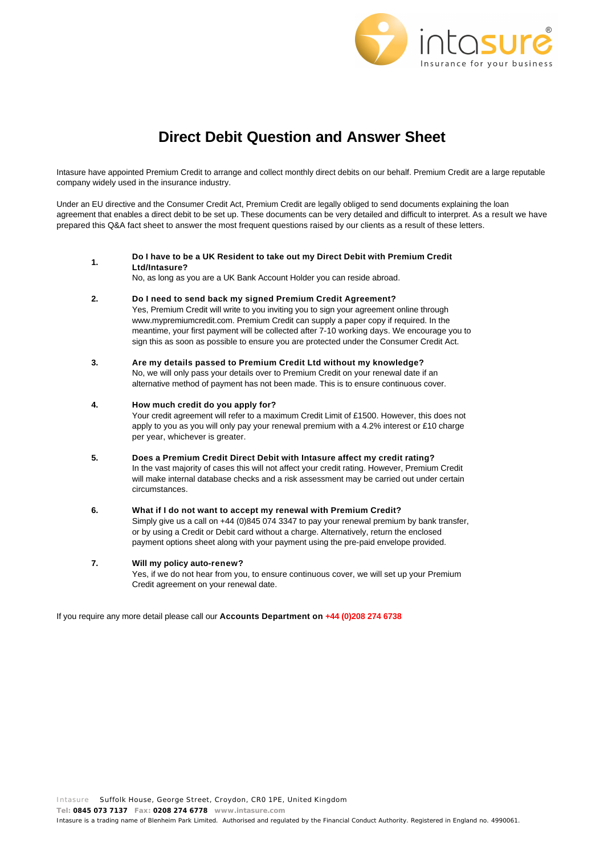

# **Direct Debit Question and Answer Sheet**

Intasure have appointed Premium Credit to arrange and collect monthly direct debits on our behalf. Premium Credit are a large reputable company widely used in the insurance industry.

Under an EU directive and the Consumer Credit Act, Premium Credit are legally obliged to send documents explaining the loan agreement that enables a direct debit to be set up. These documents can be very detailed and difficult to interpret. As a result we have prepared this Q&A fact sheet to answer the most frequent questions raised by our clients as a result of these letters.

**1. Do I have to be a UK Resident to take out my Direct Debit with Premium Credit Ltd/Intasure?**

No, as long as you are a UK Bank Account Holder you can reside abroad.

**2. Do I need to send back my signed Premium Credit Agreement?**

Yes, Premium Credit will write to you inviting you to sign your agreement online through www.mypremiumcredit.com. Premium Credit can supply a paper copy if required. In the meantime, your first payment will be collected after 7-10 working days. We encourage you to sign this as soon as possible to ensure you are protected under the Consumer Credit Act.

**3. Are my details passed to Premium Credit Ltd without my knowledge?** No, we will only pass your details over to Premium Credit on your renewal date if an alternative method of payment has not been made. This is to ensure continuous cover.

# **4. How much credit do you apply for?**

Your credit agreement will refer to a maximum Credit Limit of £1500. However, this does not apply to you as you will only pay your renewal premium with a 4.2% interest or £10 charge per year, whichever is greater.

**5. Does a Premium Credit Direct Debit with Intasure affect my credit rating?** In the vast majority of cases this will not affect your credit rating. However, Premium Credit

will make internal database checks and a risk assessment may be carried out under certain circumstances.

## **6. What if I do not want to accept my renewal with Premium Credit?**

Simply give us a call on +44 (0)845 074 3347 to pay your renewal premium by bank transfer, or by using a Credit or Debit card without a charge. Alternatively, return the enclosed payment options sheet along with your payment using the pre-paid envelope provided.

# **7. Will my policy auto-renew?**

Yes, if we do not hear from you, to ensure continuous cover, we will set up your Premium Credit agreement on your renewal date.

If you require any more detail please call our **Accounts Department on +44 (0)208 274 6738**